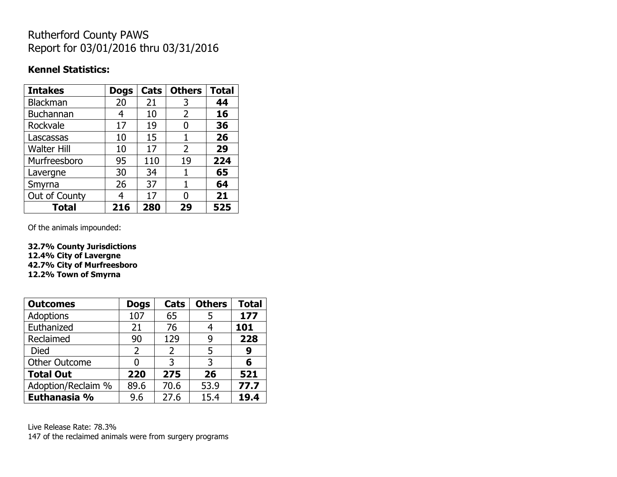## Rutherford County PAWS Report for 03/01/2016 thru 03/31/2016

### **Kennel Statistics:**

| <b>Intakes</b>     | <b>Dogs</b> | Cats | <b>Others</b> | <b>Total</b> |
|--------------------|-------------|------|---------------|--------------|
| <b>Blackman</b>    | 20          | 21   | 3             | 44           |
| <b>Buchannan</b>   | 4           | 10   | 2             | 16           |
| Rockvale           | 17          | 19   | 0             | 36           |
| Lascassas          | 10          | 15   | 1             | 26           |
| <b>Walter Hill</b> | 10          | 17   | 2             | 29           |
| Murfreesboro       | 95          | 110  | 19            | 224          |
| Lavergne           | 30          | 34   | 1             | 65           |
| Smyrna             | 26          | 37   | 1             | 64           |
| Out of County      | 4           | 17   | 0             | 21           |
| <b>Total</b>       | 216         | 280  | 29            | 525          |

Of the animals impounded:

**32.7% County Jurisdictions 12.4% City of Lavergne 42.7% City of Murfreesboro 12.2% Town of Smyrna**

| <b>Outcomes</b>      | <b>Dogs</b>    | <b>Cats</b>    | <b>Others</b> | <b>Total</b> |
|----------------------|----------------|----------------|---------------|--------------|
| <b>Adoptions</b>     | 107            | 65             | 5             | 177          |
| Euthanized           | 21             | 76             |               | 101          |
| Reclaimed            | 90             | 129            | 9             | 228          |
| Died                 | $\overline{2}$ | $\overline{2}$ | 5             | 9            |
| <b>Other Outcome</b> | N              | 3              | 3             | 6            |
| <b>Total Out</b>     | 220            | 275            | 26            | 521          |
| Adoption/Reclaim %   | 89.6           | 70.6           | 53.9          | 77.7         |
| Euthanasia %         | 9.6            | 27.6           | 15.4          | 19.4         |

Live Release Rate: 78.3% 147 of the reclaimed animals were from surgery programs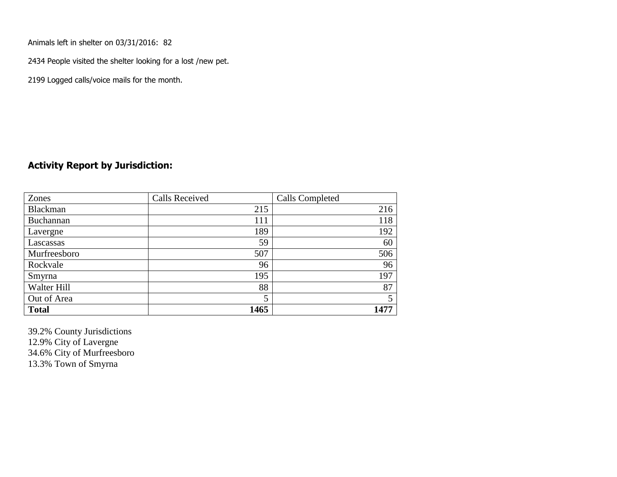Animals left in shelter on 03/31/2016: 82

2434 People visited the shelter looking for a lost /new pet.

2199 Logged calls/voice mails for the month.

#### **Activity Report by Jurisdiction:**

| Zones        | <b>Calls Received</b> | Calls Completed |
|--------------|-----------------------|-----------------|
| Blackman     | 215                   | 216             |
| Buchannan    | 111                   | 118             |
| Lavergne     | 189                   | 192             |
| Lascassas    | 59                    | 60              |
| Murfreesboro | 507                   | 506             |
| Rockvale     | 96                    | 96              |
| Smyrna       | 195                   | 197             |
| Walter Hill  | 88                    | 87              |
| Out of Area  | 5                     |                 |
| <b>Total</b> | 1465                  | 1477            |

39.2% County Jurisdictions 12.9% City of Lavergne 34.6% City of Murfreesboro 13.3% Town of Smyrna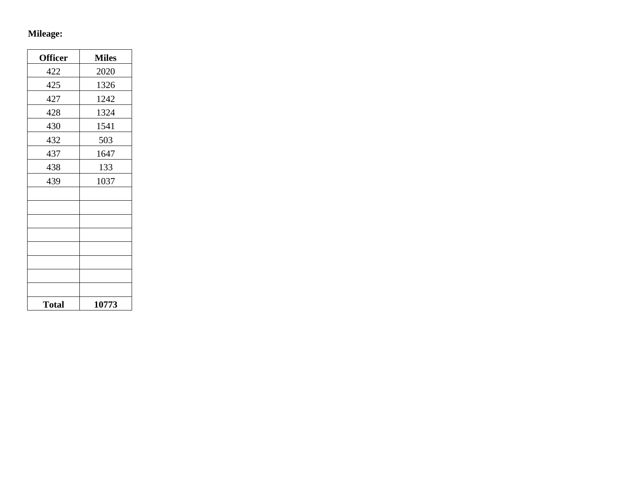# **Mileage:**

| <b>Officer</b> | <b>Miles</b> |
|----------------|--------------|
| 422            | 2020         |
| 425            | 1326         |
| 427            | 1242         |
| 428            | 1324         |
| 430            | 1541         |
| 432            | 503          |
| 437            | 1647         |
| 438            | 133          |
| 439            | 1037         |
|                |              |
|                |              |
|                |              |
|                |              |
|                |              |
|                |              |
|                |              |
|                |              |
| <b>Total</b>   | 10773        |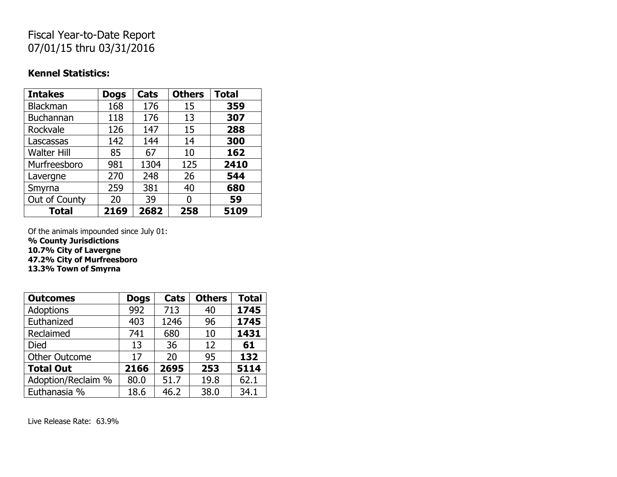## Fiscal Year-to-Date Report 07/01/15 thru 03/31/2016

### **Kennel Statistics:**

| <b>Intakes</b>     | <b>Dogs</b> | Cats | <b>Others</b> | <b>Total</b> |
|--------------------|-------------|------|---------------|--------------|
| Blackman           | 168         | 176  | 15            | 359          |
| <b>Buchannan</b>   | 118         | 176  | 13            | 307          |
| Rockvale           | 126         | 147  | 15            | 288          |
| Lascassas          | 142         | 144  | 14            | 300          |
| <b>Walter Hill</b> | 85          | 67   | 10            | 162          |
| Murfreesboro       | 981         | 1304 | 125           | 2410         |
| Lavergne           | 270         | 248  | 26            | 544          |
| Smyrna             | 259         | 381  | 40            | 680          |
| Out of County      | 20          | 39   | O             | 59           |
| <b>Total</b>       | 2169        | 2682 | 258           | 5109         |

Of the animals impounded since July 01:

**% County Jurisdictions**

**10.7% City of Lavergne**

**47.2% City of Murfreesboro**

**13.3% Town of Smyrna**

| <b>Outcomes</b>      | <b>Dogs</b> | Cats | <b>Others</b> | <b>Total</b> |
|----------------------|-------------|------|---------------|--------------|
| Adoptions            | 992         | 713  | 40            | 1745         |
| Euthanized           | 403         | 1246 | 96            | 1745         |
| Reclaimed            | 741         | 680  | 10            | 1431         |
| <b>Died</b>          | 13          | 36   | 12            | 61           |
| <b>Other Outcome</b> | 17          | 20   | 95            | 132          |
| <b>Total Out</b>     | 2166        | 2695 | 253           | 5114         |
| Adoption/Reclaim %   | 80.0        | 51.7 | 19.8          | 62.1         |
| Euthanasia %         | 18.6        | 46.2 | 38.0          | 34.1         |

Live Release Rate: 63.9%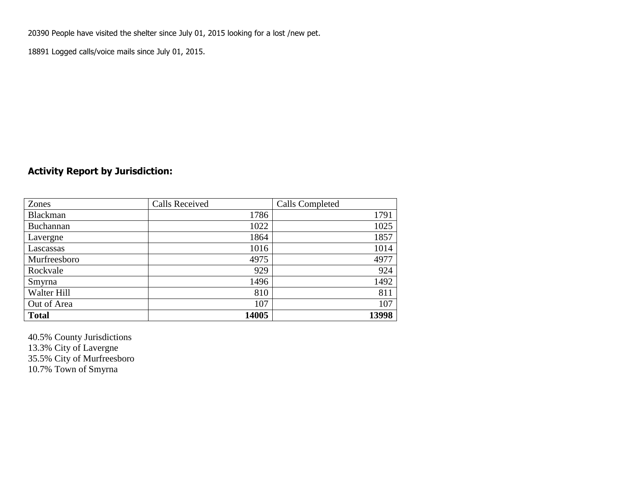20390 People have visited the shelter since July 01, 2015 looking for a lost /new pet.

18891 Logged calls/voice mails since July 01, 2015.

### **Activity Report by Jurisdiction:**

| Zones           | <b>Calls Received</b> | Calls Completed |
|-----------------|-----------------------|-----------------|
| <b>Blackman</b> | 1786                  | 1791            |
| Buchannan       | 1022                  | 1025            |
| Lavergne        | 1864                  | 1857            |
| Lascassas       | 1016                  | 1014            |
| Murfreesboro    | 4975                  | 4977            |
| Rockvale        | 929                   | 924             |
| Smyrna          | 1496                  | 1492            |
| Walter Hill     | 810                   | 811             |
| Out of Area     | 107                   | 107             |
| <b>Total</b>    | 14005                 | 13998           |

40.5% County Jurisdictions 13.3% City of Lavergne 35.5% City of Murfreesboro 10.7% Town of Smyrna